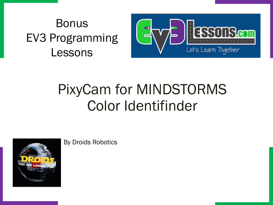#### Bonus EV3 Programming Lessons



#### PixyCam for MINDSTORMS Color Identifinder



By Droids Robotics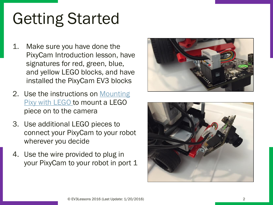## Getting Started

- 1. Make sure you have done the PixyCam Introduction lesson, have signatures for red, green, blue, and yellow LEGO blocks, and have installed the PixyCam EV3 blocks
- 2. Use the instructions on Mounting [Pixy with LEGO to mount a LEGO](http://www.cmucam.org/projects/cmucam5/wiki/Mounting_Pixy_with_LEGO)  piece on to the camera
- 3. Use additional LEGO pieces to connect your PixyCam to your robot wherever you decide
- 4. Use the wire provided to plug in your PixyCam to your robot in port 1



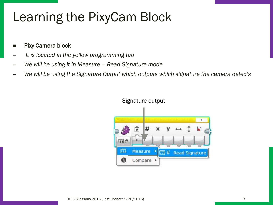#### Learning the PixyCam Block

- Pixy Camera block
- *It is located in the yellow programming tab*
- *We will be using it in Measure – Read Signature mode*
- *We will be using the Signature Output which outputs which signature the camera detects*



#### Signature output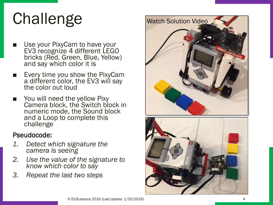## **Challenge**

- Use your PixyCam to have your EV3 recognize 4 different LEGO bricks (Red, Green, Blue, Yellow) and say which color it is
- Every time you show the PixyCam a different color, the EV3 will say the color out loud
- You will need the yellow Pixy Camera block, the Switch block in numeric mode, the Sound block and a Loop to complete this challenge

#### Pseudocode:

- *1. Detect which signature the camera is seeing*
- *2. Use the value of the signature to know which color to say*
- *3. Repeat the last two steps*

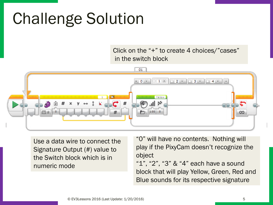### Challenge Solution

Click on the "+" to create 4 choices/"cases" in the switch block



Use a data wire to connect the Signature Output (#) value to the Switch block which is in numeric mode

"0" will have no contents. Nothing will play if the PixyCam doesn't recognize the object

"1", "2", "3" & "4" each have a sound block that will play Yellow, Green, Red and Blue sounds for its respective signature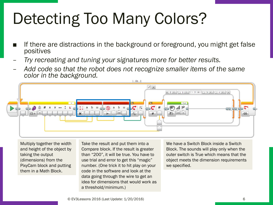# Detecting Too Many Colors?

- If there are distractions in the background or foreground, you might get false positives
- *Try recreating and tuning your signatures more for better results.*
- *Add code so that the robot does not recognize smaller items of the same color in the background.*



Multiply together the width and height of the object by taking the output (dimensions) from the PixyCam block and putting them in a Math Block.

Take the result and put them into a Compare block. If the result is greater than "200", it will be true. You have to use trial and error to get this "magic" number. (One trick it to hit play on your code in the software and look at the data going through the wire to get an idea for dimensions that would work as a threshold/minimum.)

We have a Switch Block inside a Switch Block. The sounds will play only when the outer switch is True which means that the object meets the dimension requirements we specified.